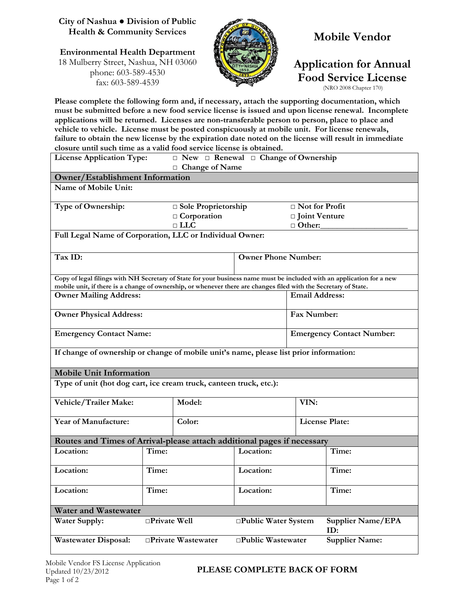#### **City of Nashua ● Division of Public Health & Community Services**

#### **Environmental Health Department** 18 Mulberry Street, Nashua, NH 03060 phone: 603-589-4530 fax: 603-589-4539



## **Mobile Vendor**

# **Application for Annual Food Service License**

(NRO 2008 Chapter 170)

**Please complete the following form and, if necessary, attach the supporting documentation, which must be submitted before a new food service license is issued and upon license renewal. Incomplete applications will be returned. Licenses are non-transferable person to person, place to place and vehicle to vehicle. License must be posted conspicuously at mobile unit. For license renewals, failure to obtain the new license by the expiration date noted on the license will result in immediate closure until such time as a valid food service license is obtained.**

| <b>License Application Type:</b>                                                                                                                                                                                                           | $\Box$ New $\Box$ Renewal $\Box$ Change of Ownership<br>□ Change of Name |                       |                                  |                       |                          |  |  |  |
|--------------------------------------------------------------------------------------------------------------------------------------------------------------------------------------------------------------------------------------------|--------------------------------------------------------------------------|-----------------------|----------------------------------|-----------------------|--------------------------|--|--|--|
| <b>Owner/Establishment Information</b>                                                                                                                                                                                                     |                                                                          |                       |                                  |                       |                          |  |  |  |
| Name of Mobile Unit:                                                                                                                                                                                                                       |                                                                          |                       |                                  |                       |                          |  |  |  |
| Type of Ownership:                                                                                                                                                                                                                         |                                                                          | □ Sole Proprietorship |                                  | □ Not for Profit      |                          |  |  |  |
|                                                                                                                                                                                                                                            |                                                                          | $\Box$ Corporation    |                                  | □ Joint Venture       |                          |  |  |  |
|                                                                                                                                                                                                                                            | $\sqcap$ LLC                                                             |                       | $\Box$ Other:                    |                       |                          |  |  |  |
| Full Legal Name of Corporation, LLC or Individual Owner:                                                                                                                                                                                   |                                                                          |                       |                                  |                       |                          |  |  |  |
| Tax ID:                                                                                                                                                                                                                                    |                                                                          |                       | <b>Owner Phone Number:</b>       |                       |                          |  |  |  |
| Copy of legal filings with NH Secretary of State for your business name must be included with an application for a new<br>mobile unit, if there is a change of ownership, or whenever there are changes filed with the Secretary of State. |                                                                          |                       |                                  |                       |                          |  |  |  |
| <b>Owner Mailing Address:</b>                                                                                                                                                                                                              |                                                                          | <b>Email Address:</b> |                                  |                       |                          |  |  |  |
| <b>Owner Physical Address:</b>                                                                                                                                                                                                             |                                                                          | Fax Number:           |                                  |                       |                          |  |  |  |
| <b>Emergency Contact Name:</b>                                                                                                                                                                                                             |                                                                          |                       | <b>Emergency Contact Number:</b> |                       |                          |  |  |  |
| If change of ownership or change of mobile unit's name, please list prior information:                                                                                                                                                     |                                                                          |                       |                                  |                       |                          |  |  |  |
| <b>Mobile Unit Information</b>                                                                                                                                                                                                             |                                                                          |                       |                                  |                       |                          |  |  |  |
| Type of unit (hot dog cart, ice cream truck, canteen truck, etc.):                                                                                                                                                                         |                                                                          |                       |                                  |                       |                          |  |  |  |
| Vehicle/Trailer Make:<br>Model:                                                                                                                                                                                                            |                                                                          |                       |                                  | VIN:                  |                          |  |  |  |
| Year of Manufacture:<br>Color:                                                                                                                                                                                                             |                                                                          |                       |                                  | <b>License Plate:</b> |                          |  |  |  |
| Routes and Times of Arrival-please attach additional pages if necessary                                                                                                                                                                    |                                                                          |                       |                                  |                       |                          |  |  |  |
| Location:                                                                                                                                                                                                                                  | Time:                                                                    |                       | Location:                        |                       | Time:                    |  |  |  |
| Location:                                                                                                                                                                                                                                  | Time:                                                                    |                       | Location:                        |                       | Time:                    |  |  |  |
| Location:                                                                                                                                                                                                                                  | Time:                                                                    |                       | Location:                        |                       | Time:                    |  |  |  |
| <b>Water and Wastewater</b>                                                                                                                                                                                                                |                                                                          |                       |                                  |                       |                          |  |  |  |
| <b>Water Supply:</b>                                                                                                                                                                                                                       | □Private Well                                                            |                       | □Public Water System             |                       | Supplier Name/EPA<br>ID: |  |  |  |
| <b>Wastewater Disposal:</b>                                                                                                                                                                                                                | □Public Wastewater<br>□Private Wastewater<br><b>Supplier Name:</b>       |                       |                                  |                       |                          |  |  |  |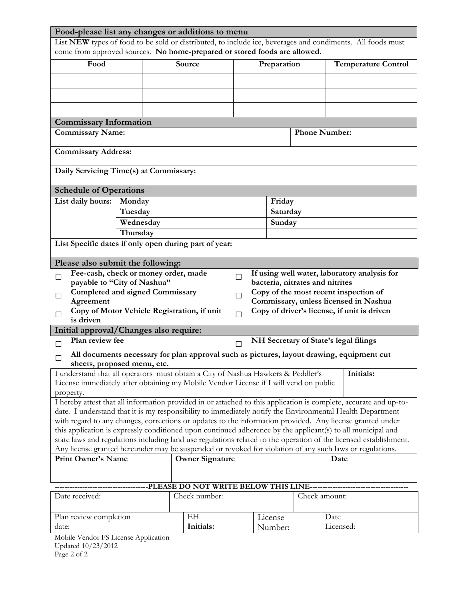| Food-please list any changes or additions to menu                                                                                                                                                                             |                    |  |                        |             |                                 |               |                                              |  |  |  |
|-------------------------------------------------------------------------------------------------------------------------------------------------------------------------------------------------------------------------------|--------------------|--|------------------------|-------------|---------------------------------|---------------|----------------------------------------------|--|--|--|
| List NEW types of food to be sold or distributed, to include ice, beverages and condiments. All foods must                                                                                                                    |                    |  |                        |             |                                 |               |                                              |  |  |  |
| come from approved sources. No home-prepared or stored foods are allowed.                                                                                                                                                     |                    |  |                        |             |                                 |               |                                              |  |  |  |
| Food                                                                                                                                                                                                                          |                    |  | Source                 | Preparation |                                 |               | <b>Temperature Control</b>                   |  |  |  |
|                                                                                                                                                                                                                               |                    |  |                        |             |                                 |               |                                              |  |  |  |
|                                                                                                                                                                                                                               |                    |  |                        |             |                                 |               |                                              |  |  |  |
|                                                                                                                                                                                                                               |                    |  |                        |             |                                 |               |                                              |  |  |  |
|                                                                                                                                                                                                                               |                    |  |                        |             |                                 |               |                                              |  |  |  |
| <b>Commissary Information</b>                                                                                                                                                                                                 |                    |  |                        |             |                                 |               |                                              |  |  |  |
| <b>Commissary Name:</b><br><b>Phone Number:</b>                                                                                                                                                                               |                    |  |                        |             |                                 |               |                                              |  |  |  |
|                                                                                                                                                                                                                               |                    |  |                        |             |                                 |               |                                              |  |  |  |
| <b>Commissary Address:</b>                                                                                                                                                                                                    |                    |  |                        |             |                                 |               |                                              |  |  |  |
|                                                                                                                                                                                                                               |                    |  |                        |             |                                 |               |                                              |  |  |  |
| Daily Servicing Time(s) at Commissary:                                                                                                                                                                                        |                    |  |                        |             |                                 |               |                                              |  |  |  |
|                                                                                                                                                                                                                               |                    |  |                        |             |                                 |               |                                              |  |  |  |
| <b>Schedule of Operations</b>                                                                                                                                                                                                 |                    |  |                        |             |                                 |               |                                              |  |  |  |
| List daily hours:                                                                                                                                                                                                             | Monday<br>Tuesday  |  |                        |             | Friday                          |               |                                              |  |  |  |
|                                                                                                                                                                                                                               | Wednesday          |  |                        |             |                                 | Saturday      |                                              |  |  |  |
|                                                                                                                                                                                                                               | Thursday           |  |                        |             |                                 | Sunday        |                                              |  |  |  |
| List Specific dates if only open during part of year:                                                                                                                                                                         |                    |  |                        |             |                                 |               |                                              |  |  |  |
|                                                                                                                                                                                                                               |                    |  |                        |             |                                 |               |                                              |  |  |  |
| Please also submit the following:                                                                                                                                                                                             |                    |  |                        |             |                                 |               |                                              |  |  |  |
| Fee-cash, check or money order, made<br>$\Box$                                                                                                                                                                                |                    |  |                        | П           |                                 |               | If using well water, laboratory analysis for |  |  |  |
| payable to "City of Nashua"                                                                                                                                                                                                   |                    |  |                        |             | bacteria, nitrates and nitrites |               |                                              |  |  |  |
| <b>Completed and signed Commissary</b><br>⊔                                                                                                                                                                                   |                    |  |                        | ⊔           |                                 |               | Copy of the most recent inspection of        |  |  |  |
| Agreement                                                                                                                                                                                                                     |                    |  |                        |             |                                 |               | Commissary, unless licensed in Nashua        |  |  |  |
| Copy of Motor Vehicle Registration, if unit<br>П<br>is driven                                                                                                                                                                 |                    |  |                        | $\Box$      |                                 |               | Copy of driver's license, if unit is driven  |  |  |  |
| Initial approval/Changes also require:                                                                                                                                                                                        |                    |  |                        |             |                                 |               |                                              |  |  |  |
| Plan review fee                                                                                                                                                                                                               |                    |  |                        |             |                                 |               | NH Secretary of State's legal filings        |  |  |  |
| $\Box$<br>$\Box$                                                                                                                                                                                                              |                    |  |                        |             |                                 |               |                                              |  |  |  |
| All documents necessary for plan approval such as pictures, layout drawing, equipment cut<br>$\Box$<br>sheets, proposed menu, etc.                                                                                            |                    |  |                        |             |                                 |               |                                              |  |  |  |
|                                                                                                                                                                                                                               |                    |  |                        |             |                                 |               | Initials:                                    |  |  |  |
| I understand that all operators must obtain a City of Nashua Hawkers & Peddler's<br>License immediately after obtaining my Mobile Vendor License if I will vend on public                                                     |                    |  |                        |             |                                 |               |                                              |  |  |  |
| property.                                                                                                                                                                                                                     |                    |  |                        |             |                                 |               |                                              |  |  |  |
| I hereby attest that all information provided in or attached to this application is complete, accurate and up-to-                                                                                                             |                    |  |                        |             |                                 |               |                                              |  |  |  |
| date. I understand that it is my responsibility to immediately notify the Environmental Health Department                                                                                                                     |                    |  |                        |             |                                 |               |                                              |  |  |  |
| with regard to any changes, corrections or updates to the information provided. Any license granted under                                                                                                                     |                    |  |                        |             |                                 |               |                                              |  |  |  |
| this application is expressly conditioned upon continued adherence by the applicant(s) to all municipal and                                                                                                                   |                    |  |                        |             |                                 |               |                                              |  |  |  |
| state laws and regulations including land use regulations related to the operation of the licensed establishment.<br>Any license granted hereunder may be suspended or revoked for violation of any such laws or regulations. |                    |  |                        |             |                                 |               |                                              |  |  |  |
| <b>Print Owner's Name</b>                                                                                                                                                                                                     |                    |  | <b>Owner Signature</b> |             |                                 |               | Date                                         |  |  |  |
|                                                                                                                                                                                                                               |                    |  |                        |             |                                 |               |                                              |  |  |  |
|                                                                                                                                                                                                                               |                    |  |                        |             |                                 |               |                                              |  |  |  |
| -PLEASE DO NOT WRITE BELOW THIS LINE----------------                                                                                                                                                                          |                    |  |                        |             |                                 |               |                                              |  |  |  |
| Date received:<br>Check number:                                                                                                                                                                                               |                    |  |                        |             |                                 | Check amount: |                                              |  |  |  |
|                                                                                                                                                                                                                               |                    |  |                        |             |                                 |               |                                              |  |  |  |
| Plan review completion                                                                                                                                                                                                        |                    |  | EH                     |             | License                         |               | Date                                         |  |  |  |
|                                                                                                                                                                                                                               | Initials:<br>date: |  |                        | Number:     | Licensed:                       |               |                                              |  |  |  |

Mobile Vendor FS License Application Updated 10/23/2012 Page 2 of 2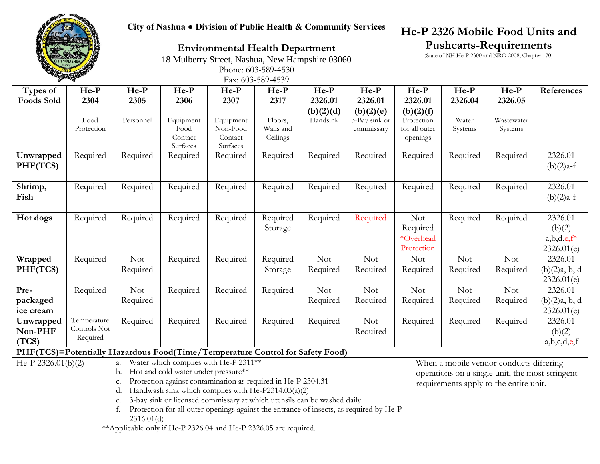**City of Nashua ● Division of Public Health & Community Services**

### **He-P 2326 Mobile Food Units and Pushcarts-Requirements**

(State of NH He-P 2300 and NRO 2008, Chapter 170)

**Environmental Health Department** 18 Mulberry Street, Nashua, New Hampshire 03060

Phone: 603-589-4530

|                                                                               | <b>PARTIES</b> |            |                     |                                       | Fax: 603-589-4539 |           |               |               |            |                                         |               |
|-------------------------------------------------------------------------------|----------------|------------|---------------------|---------------------------------------|-------------------|-----------|---------------|---------------|------------|-----------------------------------------|---------------|
| Types of                                                                      | $He-P$         | $He-P$     | $He-P$              | $He-P$                                | He-P              | $He-P$    | $He-P$        | $He-P$        | $He-P$     | $He-P$                                  | References    |
| <b>Foods Sold</b>                                                             | 2304           | 2305       | 2306                | 2307                                  | 2317              | 2326.01   | 2326.01       | 2326.01       | 2326.04    | 2326.05                                 |               |
|                                                                               |                |            |                     |                                       |                   | (b)(2)(d) | (b)(2)(e)     | (b)(2)(f)     |            |                                         |               |
|                                                                               | Food           | Personnel  | Equipment           | Equipment                             | Floors,           | Handsink  | 3-Bay sink or | Protection    | Water      | Wastewater                              |               |
|                                                                               | Protection     |            | Food                | Non-Food                              | Walls and         |           | commissary    | for all outer | Systems    | Systems                                 |               |
|                                                                               |                |            | Contact<br>Surfaces | Contact<br>Surfaces                   | Ceilings          |           |               | openings      |            |                                         |               |
| Unwrapped                                                                     | Required       | Required   | Required            | Required                              | Required          | Required  | Required      | Required      | Required   | Required                                | 2326.01       |
| PHF(TCS)                                                                      |                |            |                     |                                       |                   |           |               |               |            |                                         | $(b)(2)a-f$   |
|                                                                               |                |            |                     |                                       |                   |           |               |               |            |                                         |               |
| Shrimp,                                                                       | Required       | Required   | Required            | Required                              | Required          | Required  | Required      | Required      | Required   | Required                                | 2326.01       |
| Fish                                                                          |                |            |                     |                                       |                   |           |               |               |            |                                         | $(b)(2)a-f$   |
|                                                                               |                |            |                     |                                       |                   |           |               |               |            |                                         |               |
| Hot dogs                                                                      | Required       | Required   | Required            | Required                              | Required          | Required  | Required      | <b>Not</b>    | Required   | Required                                | 2326.01       |
|                                                                               |                |            |                     |                                       | Storage           |           |               | Required      |            |                                         | (b)(2)        |
|                                                                               |                |            |                     |                                       |                   |           |               | *Overhead     |            |                                         | $a,b,d,e,f^*$ |
|                                                                               |                |            |                     |                                       |                   |           |               | Protection    |            |                                         | 2326.01(e)    |
| Wrapped                                                                       | Required       | <b>Not</b> | Required            | Required                              | Required          | Not       | <b>Not</b>    | <b>Not</b>    | <b>Not</b> | <b>Not</b>                              | 2326.01       |
| PHF(TCS)                                                                      |                | Required   |                     |                                       | Storage           | Required  | Required      | Required      | Required   | Required                                | (b)(2)a, b, d |
|                                                                               |                |            |                     |                                       |                   |           |               |               |            |                                         | 2326.01(e)    |
| Pre-                                                                          | Required       | <b>Not</b> | Required            | Required                              | Required          | Not       | <b>Not</b>    | <b>Not</b>    | <b>Not</b> | <b>Not</b>                              | 2326.01       |
| packaged                                                                      |                | Required   |                     |                                       |                   | Required  | Required      | Required      | Required   | Required                                | (b)(2)a, b, d |
| ice cream                                                                     |                |            |                     |                                       |                   |           |               |               |            |                                         | 2326.01(e)    |
| Unwrapped                                                                     | Temperature    | Required   | Required            | Required                              | Required          | Required  | <b>Not</b>    | Required      | Required   | Required                                | 2326.01       |
| Non-PHF                                                                       | Controls Not   |            |                     |                                       |                   |           | Required      |               |            |                                         | (b)(2)        |
| (TCS)                                                                         | Required       |            |                     |                                       |                   |           |               |               |            |                                         | a,b,c,d,e,f   |
| PHF(TCS)=Potentially Hazardous Food(Time/Temperature Control for Safety Food) |                |            |                     |                                       |                   |           |               |               |            |                                         |               |
| He-P 2326.01(b)(2)                                                            |                | a.         |                     | Water which complies with He-P 2311** |                   |           |               |               |            | When a mobile vendor conducts differing |               |

b. Hot and cold water under pressure\*\*

c. Protection against contamination as required in He-P 2304.31

d. Handwash sink which complies with He-P2314.03(a)(2)

e. 3-bay sink or licensed commissary at which utensils can be washed daily

f. Protection for all outer openings against the entrance of insects, as required by He-P 2316.01(d)

\*\*Applicable only if He-P 2326.04 and He-P 2326.05 are required.

When a mobile vendor conducts differing operations on a single unit, the most stringent requirements apply to the entire unit.